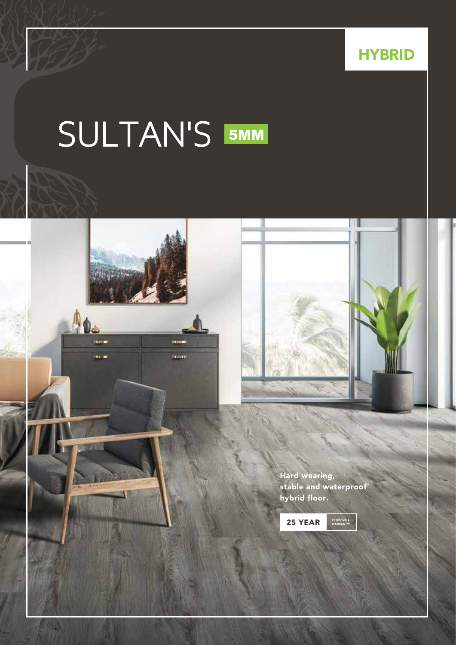**HYBRID** 

## 5MM SULTAN'S





Hard wearing, stable and waterproof^ hybrid floor.

25 YEAR

RESIDENTIAL